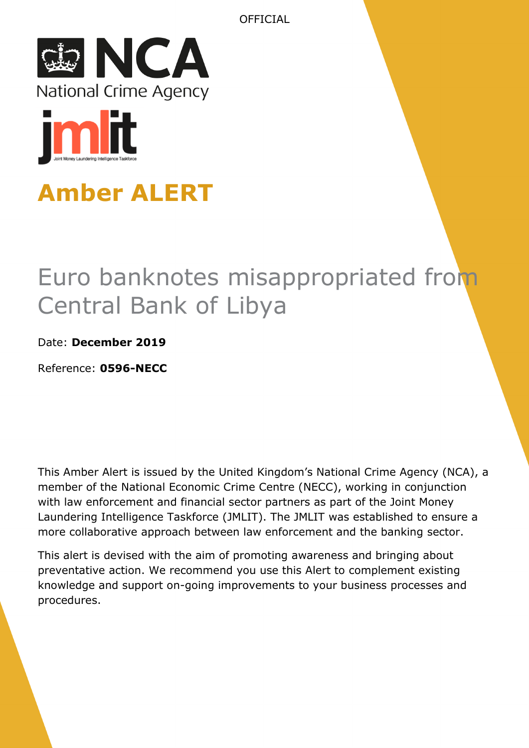



# **Amber ALERT**

# Euro banknotes misappropriated from Central Bank of Libya

## Date: **December 2019**

Reference: **0596-NECC**

This Amber Alert is issued by the United Kingdom's National Crime Agency (NCA), a member of the National Economic Crime Centre (NECC), working in conjunction with law enforcement and financial sector partners as part of the Joint Money Laundering Intelligence Taskforce (JMLIT). The JMLIT was established to ensure a more collaborative approach between law enforcement and the banking sector.

This alert is devised with the aim of promoting awareness and bringing about preventative action. We recommend you use this Alert to complement existing knowledge and support on-going improvements to your business processes and procedures.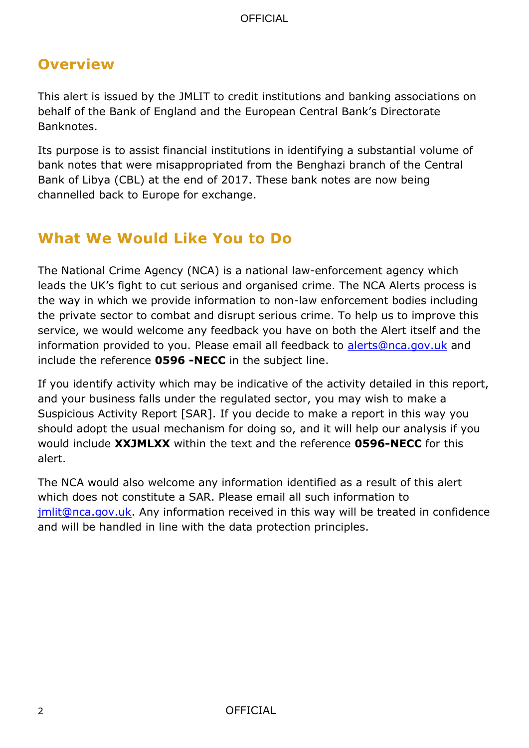# **Overview**

This alert is issued by the JMLIT to credit institutions and banking associations on behalf of the Bank of England and the European Central Bank's Directorate Banknotes.

Its purpose is to assist financial institutions in identifying a substantial volume of bank notes that were misappropriated from the Benghazi branch of the Central Bank of Libya (CBL) at the end of 2017. These bank notes are now being channelled back to Europe for exchange.

# **What We Would Like You to Do**

The National Crime Agency (NCA) is a national law-enforcement agency which leads the UK's fight to cut serious and organised crime. The NCA Alerts process is the way in which we provide information to non-law enforcement bodies including the private sector to combat and disrupt serious crime. To help us to improve this service, we would welcome any feedback you have on both the Alert itself and the information provided to you. Please email all feedback to [alerts@nca.gov.uk](mailto:alerts@nca.gov.uk) and include the reference **0596 -NECC** in the subject line.

If you identify activity which may be indicative of the activity detailed in this report, and your business falls under the regulated sector, you may wish to make a Suspicious Activity Report [SAR]. If you decide to make a report in this way you should adopt the usual mechanism for doing so, and it will help our analysis if you would include **XXJMLXX** within the text and the reference **0596-NECC** for this alert.

The NCA would also welcome any information identified as a result of this alert which does not constitute a SAR. Please email all such information to [jmlit@nca.gov.uk.](mailto:jmlit@nca.gov.uk) Any information received in this way will be treated in confidence and will be handled in line with the data protection principles.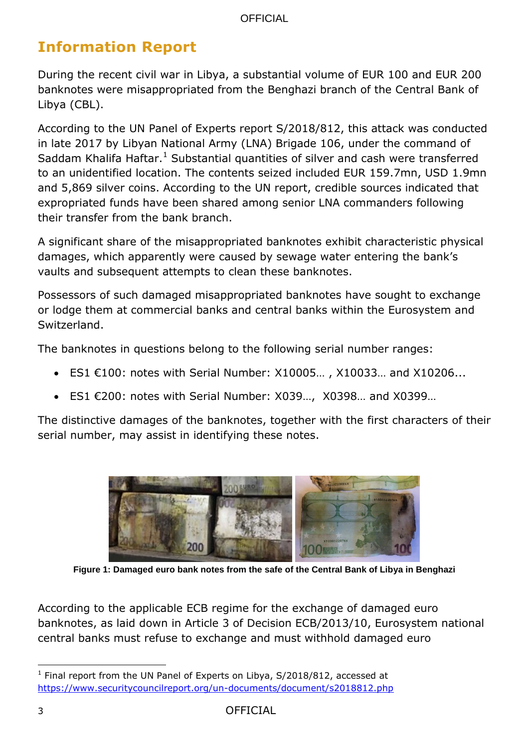# **Information Report**

During the recent civil war in Libya, a substantial volume of EUR 100 and EUR 200 banknotes were misappropriated from the Benghazi branch of the Central Bank of Libya (CBL).

According to the UN Panel of Experts report S/2018/812, this attack was conducted in late 2017 by Libyan National Army (LNA) Brigade 106, under the command of Saddam Khalifa Haftar.<sup>1</sup> Substantial quantities of silver and cash were transferred to an unidentified location. The contents seized included EUR 159.7mn, USD 1.9mn and 5,869 silver coins. According to the UN report, credible sources indicated that expropriated funds have been shared among senior LNA commanders following their transfer from the bank branch.

A significant share of the misappropriated banknotes exhibit characteristic physical damages, which apparently were caused by sewage water entering the bank's vaults and subsequent attempts to clean these banknotes.

Possessors of such damaged misappropriated banknotes have sought to exchange or lodge them at commercial banks and central banks within the Eurosystem and Switzerland.

The banknotes in questions belong to the following serial number ranges:

- ES1  $€100$ : notes with Serial Number:  $X10005...$ ,  $X10033...$  and  $X10206...$
- ES1 €200: notes with Serial Number: X039…, X0398… and X0399…

The distinctive damages of the banknotes, together with the first characters of their serial number, may assist in identifying these notes.



**Figure 1: Damaged euro bank notes from the safe of the Central Bank of Libya in Benghazi**

According to the applicable ECB regime for the exchange of damaged euro banknotes, as laid down in Article 3 of Decision ECB/2013/10, Eurosystem national central banks must refuse to exchange and must withhold damaged euro

l <sup>1</sup> Final report from the UN Panel of Experts on Libya, S/2018/812, accessed at <https://www.securitycouncilreport.org/un-documents/document/s2018812.php>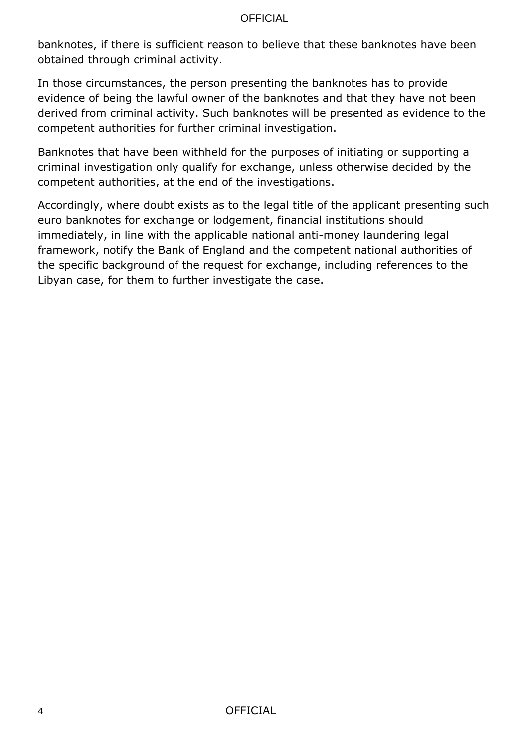banknotes, if there is sufficient reason to believe that these banknotes have been obtained through criminal activity.

In those circumstances, the person presenting the banknotes has to provide evidence of being the lawful owner of the banknotes and that they have not been derived from criminal activity. Such banknotes will be presented as evidence to the competent authorities for further criminal investigation.

Banknotes that have been withheld for the purposes of initiating or supporting a criminal investigation only qualify for exchange, unless otherwise decided by the competent authorities, at the end of the investigations.

Accordingly, where doubt exists as to the legal title of the applicant presenting such euro banknotes for exchange or lodgement, financial institutions should immediately, in line with the applicable national anti-money laundering legal framework, notify the Bank of England and the competent national authorities of the specific background of the request for exchange, including references to the Libyan case, for them to further investigate the case.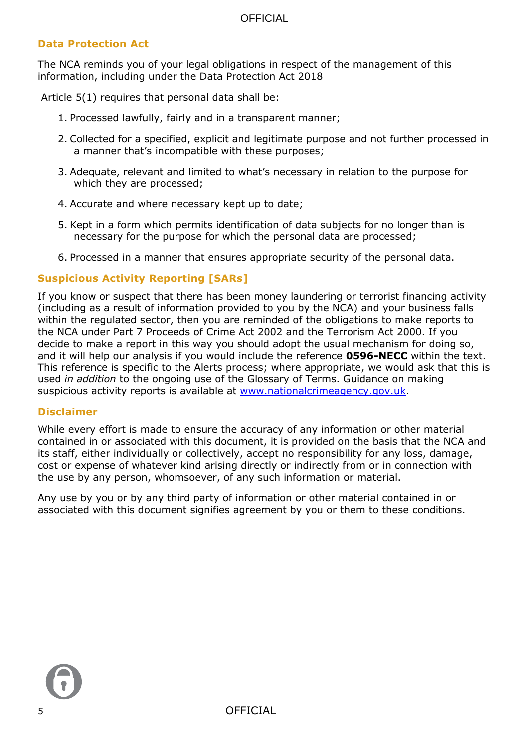## **Data Protection Act**

The NCA reminds you of your legal obligations in respect of the management of this information, including under the Data Protection Act 2018

Article 5(1) requires that personal data shall be:

- 1. Processed lawfully, fairly and in a transparent manner;
- 2. Collected for a specified, explicit and legitimate purpose and not further processed in a manner that's incompatible with these purposes;
- 3. Adequate, relevant and limited to what's necessary in relation to the purpose for which they are processed;
- 4. Accurate and where necessary kept up to date;
- 5. Kept in a form which permits identification of data subjects for no longer than is necessary for the purpose for which the personal data are processed;
- 6. Processed in a manner that ensures appropriate security of the personal data.

## **Suspicious Activity Reporting [SARs]**

If you know or suspect that there has been money laundering or terrorist financing activity (including as a result of information provided to you by the NCA) and your business falls within the regulated sector, then you are reminded of the obligations to make reports to the NCA under Part 7 Proceeds of Crime Act 2002 and the Terrorism Act 2000. If you decide to make a report in this way you should adopt the usual mechanism for doing so, and it will help our analysis if you would include the reference **0596-NECC** within the text. This reference is specific to the Alerts process; where appropriate, we would ask that this is used *in addition* to the ongoing use of the Glossary of Terms. Guidance on making suspicious activity reports is available at [www.nationalcrimeagency.gov.uk.](http://www.nationalcrimeagency.gov.uk/)

#### **Disclaimer**

While every effort is made to ensure the accuracy of any information or other material contained in or associated with this document, it is provided on the basis that the NCA and its staff, either individually or collectively, accept no responsibility for any loss, damage, cost or expense of whatever kind arising directly or indirectly from or in connection with the use by any person, whomsoever, of any such information or material.

Any use by you or by any third party of information or other material contained in or associated with this document signifies agreement by you or them to these conditions.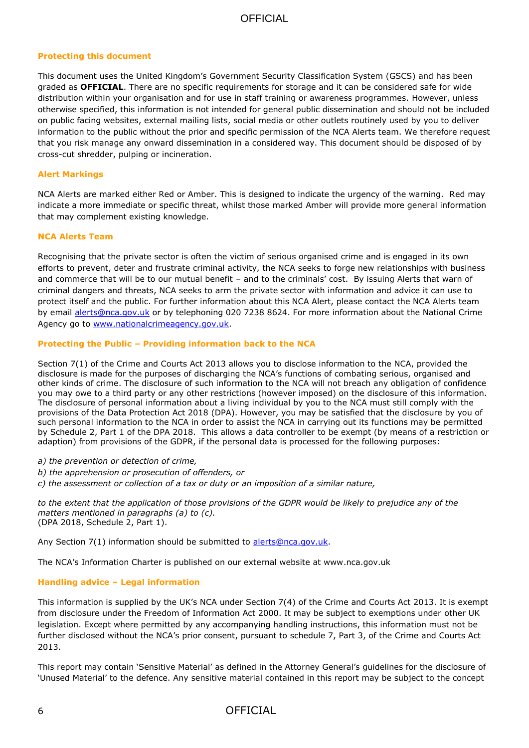#### **Protecting this document**

This document uses the United Kingdom's Government Security Classification System (GSCS) and has been graded as **OFFICIAL**. There are no specific requirements for storage and it can be considered safe for wide distribution within your organisation and for use in staff training or awareness programmes. However, unless otherwise specified, this information is not intended for general public dissemination and should not be included on public facing websites, external mailing lists, social media or other outlets routinely used by you to deliver information to the public without the prior and specific permission of the NCA Alerts team. We therefore request that you risk manage any onward dissemination in a considered way. This document should be disposed of by cross-cut shredder, pulping or incineration.

#### **Alert Markings**

NCA Alerts are marked either Red or Amber. This is designed to indicate the urgency of the warning. Red may indicate a more immediate or specific threat, whilst those marked Amber will provide more general information that may complement existing knowledge.

#### **NCA Alerts Team**

Recognising that the private sector is often the victim of serious organised crime and is engaged in its own efforts to prevent, deter and frustrate criminal activity, the NCA seeks to forge new relationships with business and commerce that will be to our mutual benefit – and to the criminals' cost. By issuing Alerts that warn of criminal dangers and threats, NCA seeks to arm the private sector with information and advice it can use to protect itself and the public. For further information about this NCA Alert, please contact the NCA Alerts team by email [alerts@nca.gov.uk](mailto:alerts@nca.gov.uk) or by telephoning 020 7238 8624. For more information about the National Crime Agency go to [www.nationalcrimeagency.gov.uk.](http://www.nca.gov.uk/)

#### **Protecting the Public – Providing information back to the NCA**

Section 7(1) of the Crime and Courts Act 2013 allows you to disclose information to the NCA, provided the disclosure is made for the purposes of discharging the NCA's functions of combating serious, organised and other kinds of crime. The disclosure of such information to the NCA will not breach any obligation of confidence you may owe to a third party or any other restrictions (however imposed) on the disclosure of this information. The disclosure of personal information about a living individual by you to the NCA must still comply with the provisions of the Data Protection Act 2018 (DPA). However, you may be satisfied that the disclosure by you of such personal information to the NCA in order to assist the NCA in carrying out its functions may be permitted by Schedule 2, Part 1 of the DPA 2018. This allows a data controller to be exempt (by means of a restriction or adaption) from provisions of the GDPR, if the personal data is processed for the following purposes:

*a) the prevention or detection of crime,* 

*b) the apprehension or prosecution of offenders, or* 

*c) the assessment or collection of a tax or duty or an imposition of a similar nature,* 

*to the extent that the application of those provisions of the GDPR would be likely to prejudice any of the matters mentioned in paragraphs (a) to (c).*  (DPA 2018, Schedule 2, Part 1).

Any Section 7(1) information should be submitted to [alerts@nca.gov.uk.](mailto:alerts@nca.gov.uk)

The NCA's Information Charter is published on our external website at www.nca.gov.uk

#### **Handling advice – Legal information**

This information is supplied by the UK's NCA under Section 7(4) of the Crime and Courts Act 2013. It is exempt from disclosure under the Freedom of Information Act 2000. It may be subject to exemptions under other UK legislation. Except where permitted by any accompanying handling instructions, this information must not be further disclosed without the NCA's prior consent, pursuant to schedule 7, Part 3, of the Crime and Courts Act 2013.

This report may contain 'Sensitive Material' as defined in the Attorney General's guidelines for the disclosure of 'Unused Material' to the defence. Any sensitive material contained in this report may be subject to the concept

#### 6 OFFICIAL